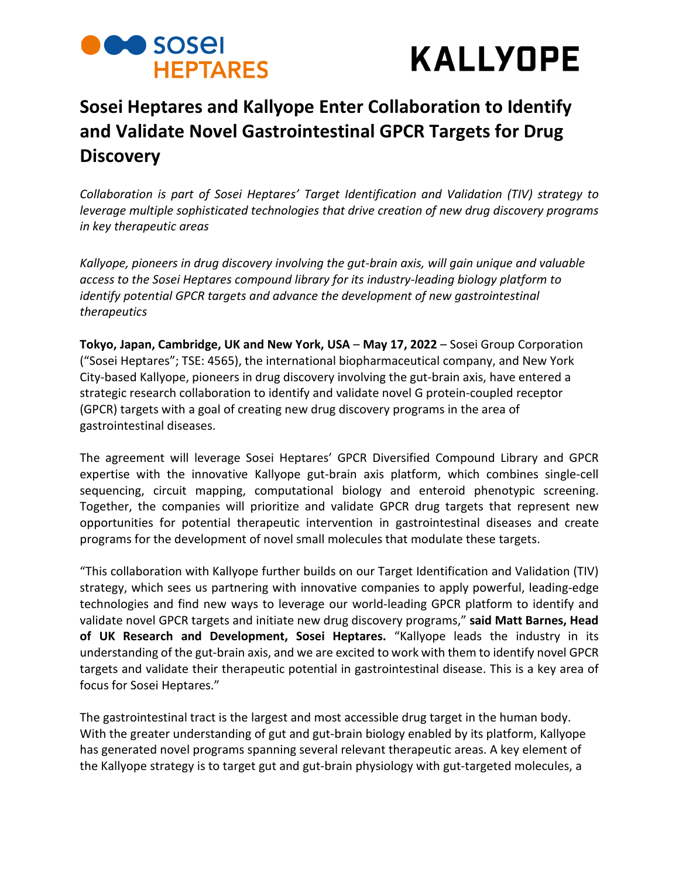## **Designations HEPTARES**



### **Sosei Heptares and Kallyope Enter Collaboration to Identify and Validate Novel Gastrointestinal GPCR Targets for Drug Discovery**

*Collaboration is part of Sosei Heptares' Target Identification and Validation (TIV) strategy to leverage multiple sophisticated technologies that drive creation of new drug discovery programs in key therapeutic areas*

*Kallyope, pioneers in drug discovery involving the gut-brain axis, will gain unique and valuable access to the Sosei Heptares compound library for its industry-leading biology platform to identify potential GPCR targets and advance the development of new gastrointestinal therapeutics*

**Tokyo, Japan, Cambridge, UK and New York, USA** – **May 17, 2022** – Sosei Group Corporation ("Sosei Heptares"; TSE: 4565), the international biopharmaceutical company, and New York City-based Kallyope, pioneers in drug discovery involving the gut-brain axis, have entered a strategic research collaboration to identify and validate novel G protein-coupled receptor (GPCR) targets with a goal of creating new drug discovery programs in the area of gastrointestinal diseases.

The agreement will leverage Sosei Heptares' GPCR Diversified Compound Library and GPCR expertise with the innovative Kallyope gut-brain axis platform, which combines single-cell sequencing, circuit mapping, computational biology and enteroid phenotypic screening. Together, the companies will prioritize and validate GPCR drug targets that represent new opportunities for potential therapeutic intervention in gastrointestinal diseases and create programs for the development of novel small molecules that modulate these targets.

"This collaboration with Kallyope further builds on our Target Identification and Validation (TIV) strategy, which sees us partnering with innovative companies to apply powerful, leading-edge technologies and find new ways to leverage our world-leading GPCR platform to identify and validate novel GPCR targets and initiate new drug discovery programs," **said Matt Barnes, Head of UK Research and Development, Sosei Heptares.** "Kallyope leads the industry in its understanding of the gut-brain axis, and we are excited to work with them to identify novel GPCR targets and validate their therapeutic potential in gastrointestinal disease. This is a key area of focus for Sosei Heptares."

The gastrointestinal tract is the largest and most accessible drug target in the human body. With the greater understanding of gut and gut-brain biology enabled by its platform, Kallyope has generated novel programs spanning several relevant therapeutic areas. A key element of the Kallyope strategy is to target gut and gut-brain physiology with gut-targeted molecules, a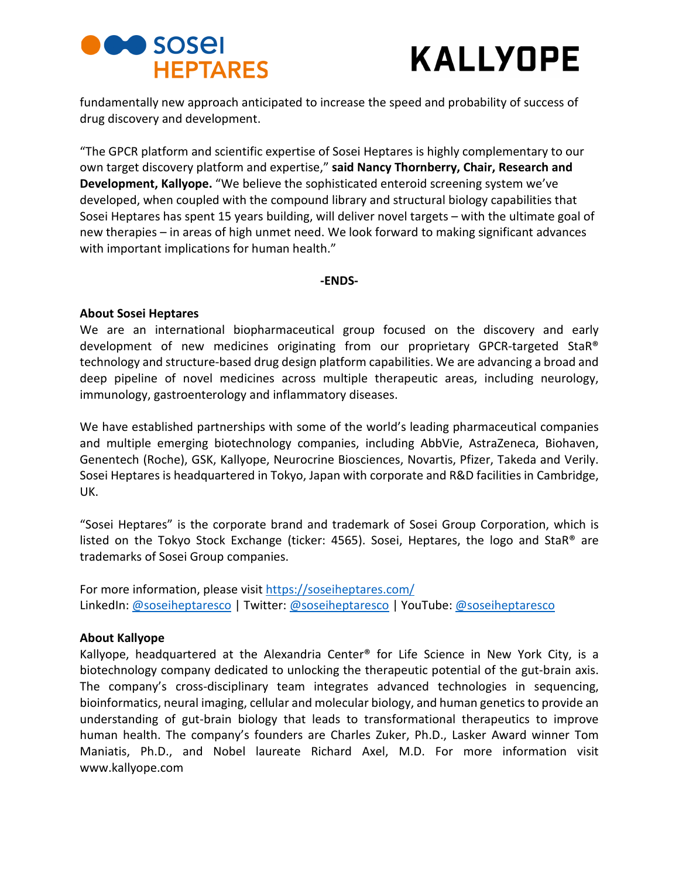## **Designations HEPTARES**



fundamentally new approach anticipated to increase the speed and probability of success of drug discovery and development.

"The GPCR platform and scientific expertise of Sosei Heptares is highly complementary to our own target discovery platform and expertise," **said Nancy Thornberry, Chair, Research and Development, Kallyope.** "We believe the sophisticated enteroid screening system we've developed, when coupled with the compound library and structural biology capabilities that Sosei Heptares has spent 15 years building, will deliver novel targets – with the ultimate goal of new therapies – in areas of high unmet need. We look forward to making significant advances with important implications for human health."

### **-ENDS-**

### **About Sosei Heptares**

We are an international biopharmaceutical group focused on the discovery and early development of new medicines originating from our proprietary GPCR-targeted StaR® technology and structure-based drug design platform capabilities. We are advancing a broad and deep pipeline of novel medicines across multiple therapeutic areas, including neurology, immunology, gastroenterology and inflammatory diseases.

We have established partnerships with some of the world's leading pharmaceutical companies and multiple emerging biotechnology companies, including AbbVie, AstraZeneca, Biohaven, Genentech (Roche), GSK, Kallyope, Neurocrine Biosciences, Novartis, Pfizer, Takeda and Verily. Sosei Heptares is headquartered in Tokyo, Japan with corporate and R&D facilities in Cambridge, UK.

"Sosei Heptares" is the corporate brand and trademark of Sosei Group Corporation, which is listed on the Tokyo Stock Exchange (ticker: 4565). Sosei, Heptares, the logo and StaR® are trademarks of Sosei Group companies.

For more information, please visi[t https://soseiheptares.com/](https://soseiheptares.com/) LinkedIn: [@soseiheptaresco](https://twitter.com/soseiheptaresco) | Twitter[: @soseiheptaresco](https://www.youtube.com/channel/UCVIItbR5X7eoIwbgVrsR-dg) | YouTube: @soseiheptaresco

### **About Kallyope**

Kallyope, headquartered at the Alexandria Center® for Life Science in New York City, is a biotechnology company dedicated to unlocking the therapeutic potential of the gut-brain axis. The company's cross-disciplinary team integrates advanced technologies in sequencing, bioinformatics, neural imaging, cellular and molecular biology, and human genetics to provide an understanding of gut-brain biology that leads to transformational therapeutics to improve human health. The company's founders are Charles Zuker, Ph.D., Lasker Award winner Tom Maniatis, Ph.D., and Nobel laureate Richard Axel, M.D. For more information visit [www.kallyope.com](http://www.kallyope.com/)